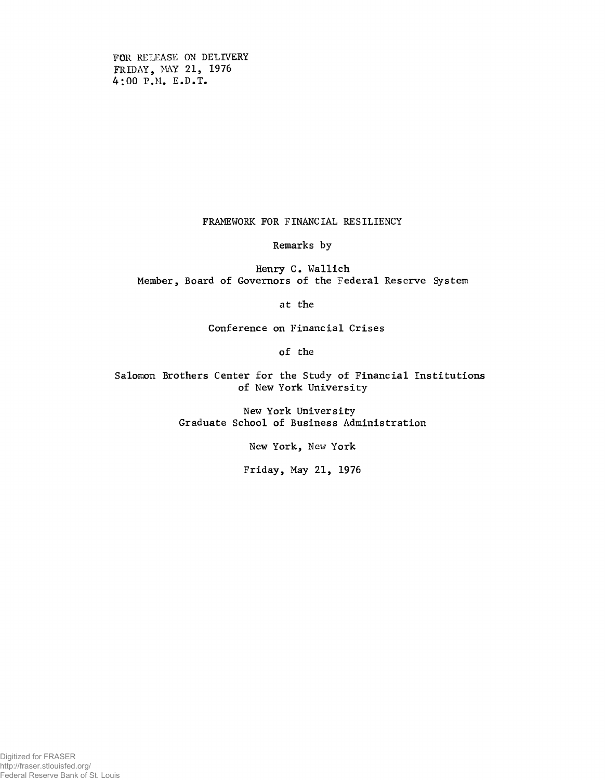**FOR RELEASE ON DELIVERY** FRIDAY, MAY 21, 1976 **4:00 P.M. E.D.T.**

**FRAMEWORK FOR FINANCIAL RESILIENCY**

**Remarks by**

**Henry C. Wallich Member, Board of Governors of the Federal Reserve System**

**at the**

**Conference on Financial Crises**

**of the**

**Salomon Brothers Center for the Study of Financial Institutions of New York University**

> **New York University Graduate School of Business Administration**

> > **New York, New York**

**Friday, May 21, 1976**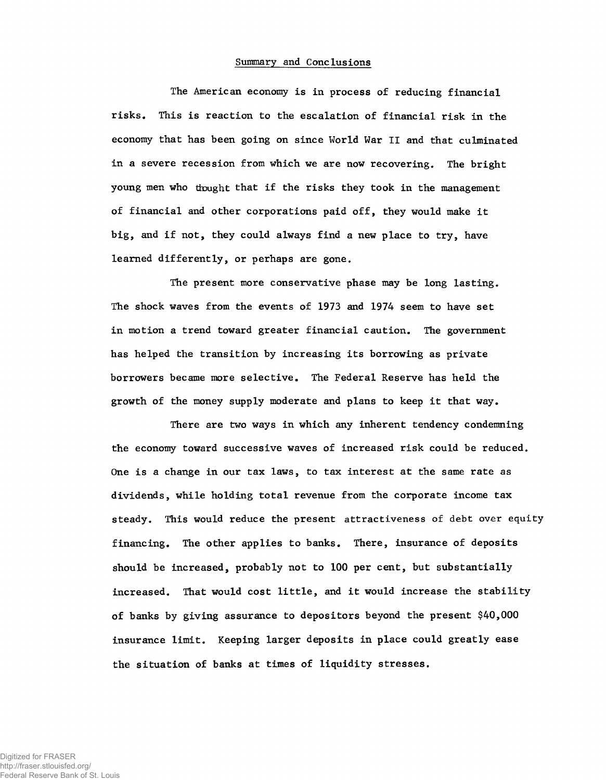#### **Summary and Conclusions**

**The American economy is in process of reducing financial risks. This is reaction to the escalation of financial risk in the economy that has been going on since World War II and that culminated in a severe recession from which we are now recovering. The bright young men who thought that if the risks they took in the management of financial and other corporations paid off, they would make it big, and if not, they could always find a new place to try, have learned differently, or perhaps are gone.**

**The present more conservative phase may be long lasting. The shock waves from the events of 1973 and 1974 seem to have set in motion a trend toward greater financial caution. The government has helped the transition by increasing its borrowing as private borrowers became more selective. The Federal Reserve has held the growth of the money supply moderate and plans to keep it that way.**

**There are two ways in which any inherent tendency condemning the economy toward successive waves of increased risk could be reduced. One is a change in our tax laws, to tax interest at the same rate as dividends, while holding total revenue from the corporate income tax steady. This would reduce the present attractiveness of debt over equity financing. The other applies to banks. There, insurance of deposits should be increased, probably not to 100 per cent, but substantially increased. That would cost little, and it would increase the stability of banks by giving assurance to depositors beyond the present \$40,000 insurance limit. Keeping larger deposits in place could greatly ease the situation of banks at times of liquidity stresses.**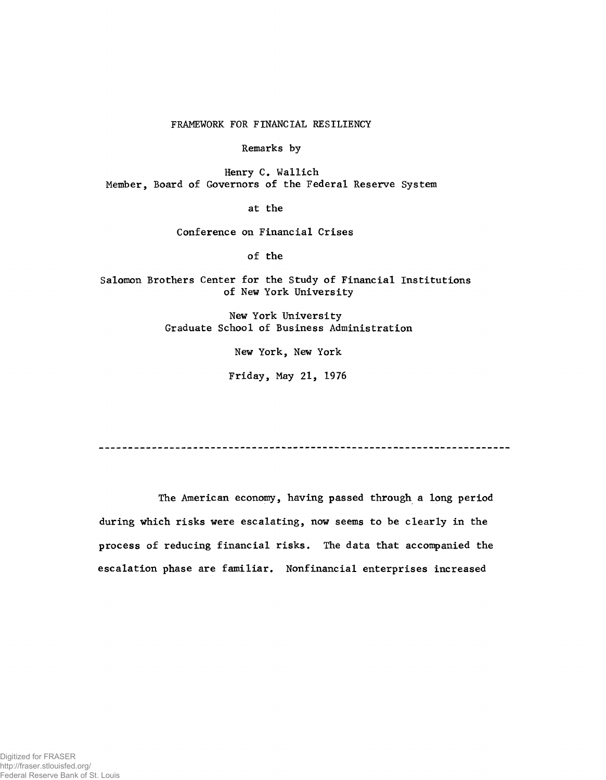**FRAMEWORK FOR FINANCIAL RESILIENCY**

**Remarks by**

**Henry C. Wallich Member, Board of Governors of the Federal Reserve System**

**at the**

**Conference on Financial Crises**

**of the**

**Salomon Brothers Center for the Study of Financial Institutions of New York University**

> **New York University Graduate School of Business Administration**

> > **New York, New York**

**Friday, May 21, 1976**

**The American economy, having passed through a long period during which risks were escalating, now seems to be clearly in the process of reducing financial risks. The data that accompanied the escalation phase are familiar. Nonfinancial enterprises increased**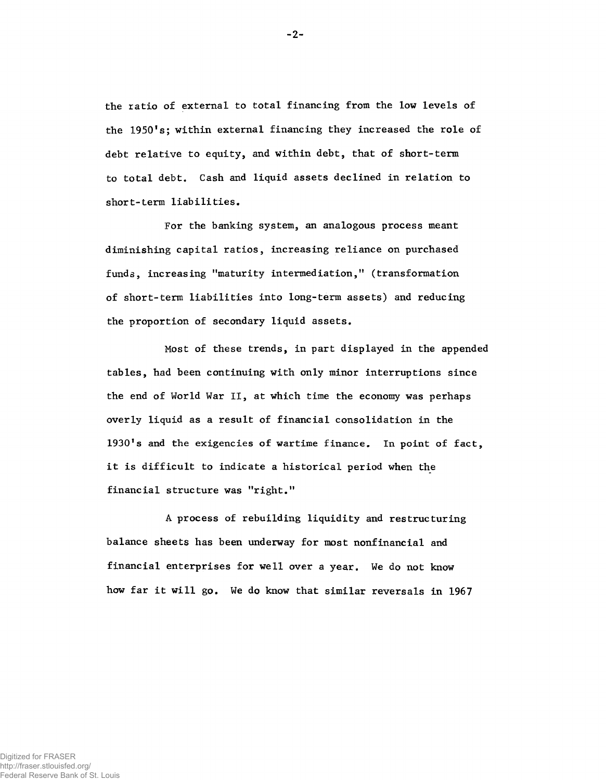**the ratio of external to total financing from the low levels of the 1950fs; within external financing they increased the role of debt relative to equity, and within debt, that of short-term to total debt. Cash and liquid assets declined in relation to short-term liabilities.**

**For the banking system, an analogous process meant diminishing capital ratios, increasing reliance on purchased funds, increasing "maturity intermediation," (transformation of short-term liabilities into long-term assets) and reducing the proportion of secondary liquid assets.**

**Most of these trends, in part displayed in the appended tables, had been continuing with only minor interruptions since the end of World War II, at which time the economy was perhaps overly liquid as a result of financial consolidation in the 1930\*s and the exigencies of wartime finance. In point of fact, it is difficult to indicate a historical period when the financial structure was "right.11**

**A process of rebuilding liquidity and restructuring balance sheets has been underway for most nonfinancial and financial enterprises for well over a year. We do not know how far it will go. We do know that similar reversals in 1967**

**-2-**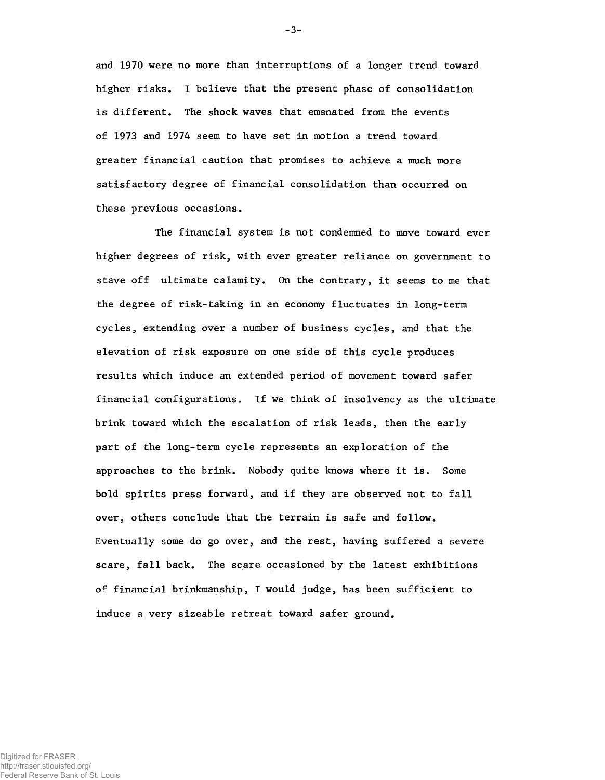**and 1970 were no more than interruptions of a longer trend toward higher risks. I believe that the present phase of consolidation is different. The shock waves that emanated from the events of 1973 and 1974 seem to have set in motion a trend toward greater financial caution that promises to achieve a much more satisfactory degree of financial consolidation than occurred on these previous occasions.**

**The financial system is not condemned to move toward ever higher degrees of risk, with ever greater reliance on government to stave off ultimate calamity. On the contrary, it seems to me that the degree of risk-taking in an economy fluctuates in long-term cycles, extending over a number of business cycles, and that the elevation of risk exposure on one side of this cycle produces results which induce an extended period of movement toward safer financial configurations. If we think of insolvency as the ultimate brink toward which the escalation of risk leads, then the early part of the long-term cycle represents an exploration of the approaches to the brink. Nobody quite knows where it is. Some bold spirits press forward, and if they are observed not to fall over, others conclude that the terrain is safe and follow. Eventually some do go over, and the rest, having suffered a severe scare, fall back. The scare occasioned by the latest exhibitions of financial brinkmanship, I would judge, has been sufficient to induce a very sizeable retreat toward safer ground.**

**-3-**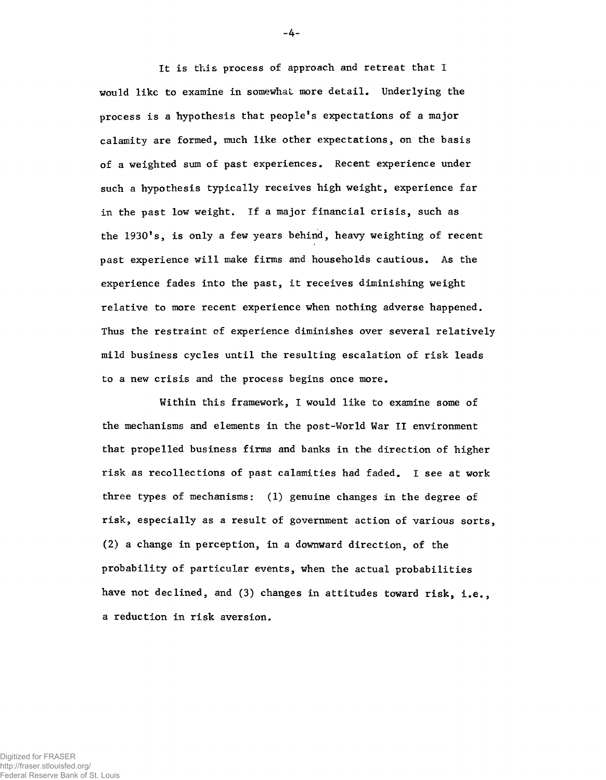**It is this process of approach and retreat that I would like to examine in somewhat more detail. Underlying the process is a hypothesis that peoplefs expectations of a major calamity are formed, much like other expectations, on the basis of a weighted sum of past experiences. Recent experience under such a hypothesis typically receives high weight, experience far in the past low weight. If a major financial crisis, such as** the 1930's, is only a few years behind, heavy weighting of recent **past experience will make firms and households cautious. As the experience fades into the past, it receives diminishing weight relative to more recent experience when nothing adverse happened. Thus the restraint of experience diminishes over several relatively mild business cycles until the resulting escalation of risk leads to a new crisis and the process begins once more.**

**Within this framework, I would like to examine some of the mechanisms and elements in the post-World War II environment that propelled business firms and banks in the direction of higher risk as recollections of past calamities had faded. I see at work three types of mechanisms: (1) genuine changes in the degree of risk, especially as a result of government action of various sorts, (2) a change in perception, in a downward direction, of the probability of particular events, when the actual probabilities have not declined, and (3) changes in attitudes toward risk, i.e., a reduction in risk aversion.**

**-4-**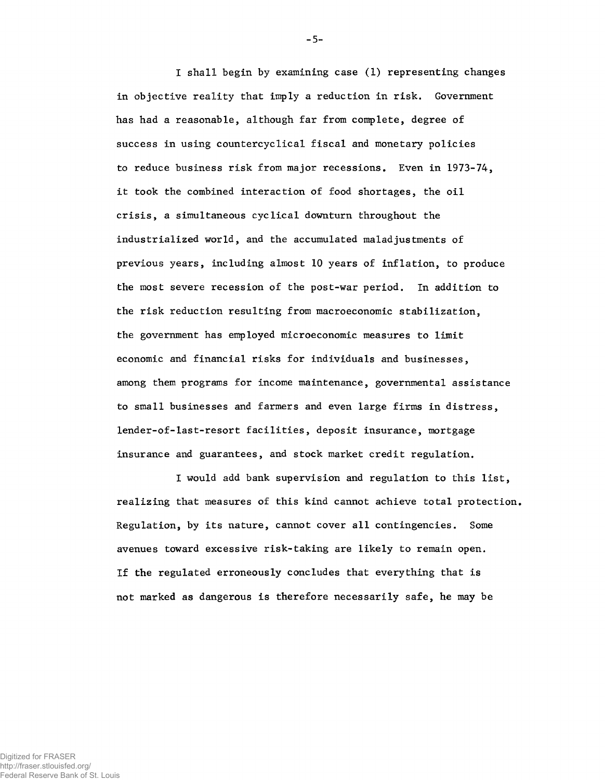**I shall begin by examining case (1) representing changes in objective reality that imply a reduction in risk. Government has had a reasonable, although far from complete, degree of success in using countercyclical fiscal and monetary policies to reduce business risk from major recessions. Even in 1973-74, it took the combined interaction of food shortages, the oil crisis, a simultaneous cyclical downturn throughout the industrialized world, and the accumulated maladjustments of previous years, including almost 10 years of inflation, to produce the most severe recession of the post-war period. In addition to the risk reduction resulting from macroeconomic stabilization, the government has employed microeconomic measures to limit economic and financial risks for individuals and businesses, among them programs for income maintenance, governmental assistance to small businesses and farmers and even large firms in distress, lender-of-last-resort facilities, deposit insurance, mortgage insurance and guarantees, and stock market credit regulation.**

**I would add bank supervision and regulation to this list, realizing that measures of this kind cannot achieve total protection. Regulation, by its nature, cannot cover all contingencies. Some avenues toward excessive risk-taking are likely to remain open. If the regulated erroneously concludes that everything that is not marked as dangerous is therefore necessarily safe, he may be**

**-5-**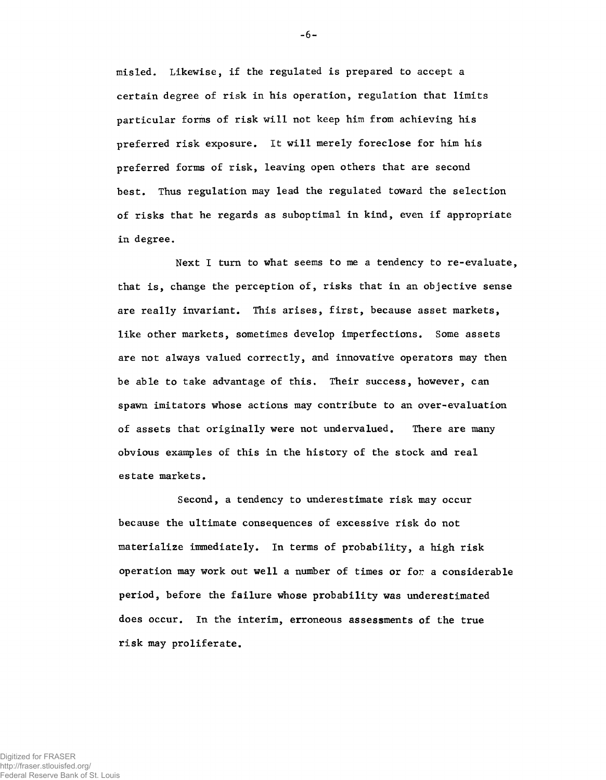**misled. Likewise, if the regulated is prepared to accept a certain degree of risk in his operation, regulation that limits particular forms of risk will not keep him from achieving his preferred risk exposure. It will merely foreclose for him his preferred forms of risk, leaving open others that are second best. Thus regulation may lead the regulated toward the selection of risks that he regards as suboptimal in kind, even if appropriate in degree.**

**Next I turn to what seems to me a tendency to re-evaluate, that is, change the perception of, risks that in an objective sense are really invariant. This arises, first, because asset markets, like other markets, sometimes develop imperfections. Some assets are not always valued correctly, and innovative operators may then be able to take advantage of this. Their success, however, can spawn imitators whose actions may contribute to an over-evaluation of assets that originally were not undervalued. There are many obvious examples of this in the history of the stock and real estate markets.**

**Second, a tendency to underestimate risk may occur because the ultimate consequences of excessive risk do not materialize immediately. In terms of probability, a high risk operation may work out well a number of times or for a considerable period, before the failure whose probability was underestimated does occur. In the interim, erroneous assessments of the true risk may proliferate.**

**-6-**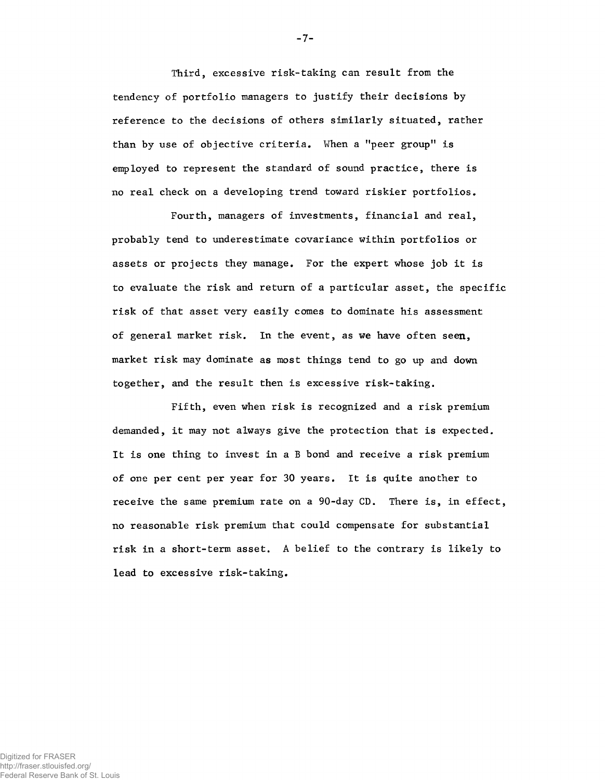**Third, excessive risk-taking can result from the tendency of portfolio managers to justify their decisions by reference to the decisions of others similarly situated, rather than by use of objective criteria. When a "peer group" is employed to represent the standard of sound practice, there is no real check on a developing trend toward riskier portfolios.**

**Fourth, managers of investments, financial and real, probably tend to underestimate covariance within portfolios or assets or projects they manage. For the expert whose job it is to evaluate the risk and return of a particular asset, the specific risk of that asset very easily comes to dominate his assessment of general market risk. In the event, as we have often seen, market risk may dominate as most things tend to go up and down together, and the result then is excessive risk-taking.**

**Fifth, even when risk is recognized and a risk premium demanded, it may not always give the protection that is expected. It is one thing to invest in a B bond and receive a risk premium of one per cent per year for 30 years. It is quite another to receive the same premium rate on a 90-day CD. There is, in effect, no reasonable risk premium that could compensate for substantial risk in a short-term asset. A belief to the contrary is likely to lead to excessive risk-taking.**

**-7-**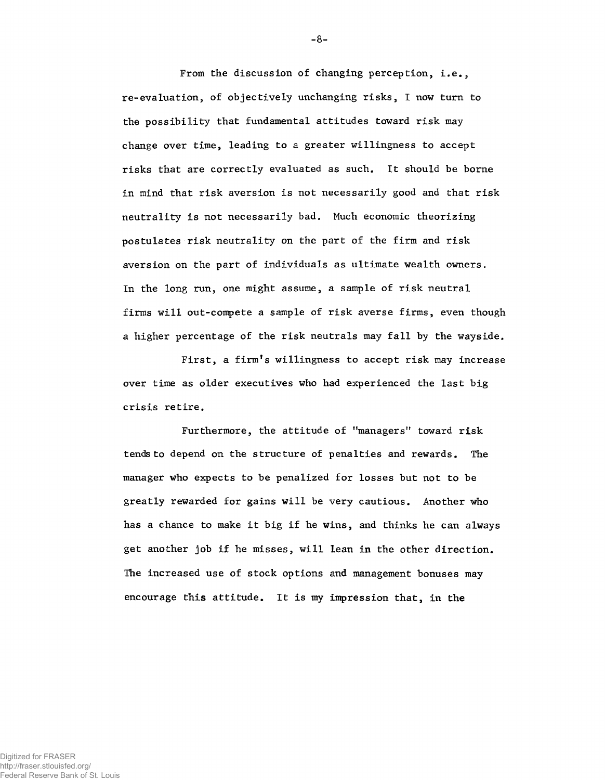**From the discussion of changing perception, i.e., re-evaluation, of objectively unchanging risks, I now turn to the possibility that fundamental attitudes toward risk may change over time, leading to a greater willingness to accept risks that are correctly evaluated as such. It should be borne in mind that risk aversion is not necessarily good and that risk neutrality is not necessarily bad. Much economic theorizing postulates risk neutrality on the part of the firm and risk aversion on the part of individuals as ultimate wealth owners. In the long run, one might assume, a sample of risk neutral firms will out-compete a sample of risk averse firms, even though a higher percentage of the risk neutrals may fall by the wayside.**

**First, a firmfs willingness to accept risk may increase over time as older executives who had experienced the last big crisis retire.**

Furthermore, the attitude of "managers" toward risk **tends to depend on the structure of penalties and rewards. The manager who expects to be penalized for losses but not to be greatly rewarded for gains will be very cautious. Another who has a chance to make it big if he wins, and thinks he can always get another job if he misses, will lean in the other direction. The increased use of stock options and management bonuses may encourage this attitude. It is my impression that, in the**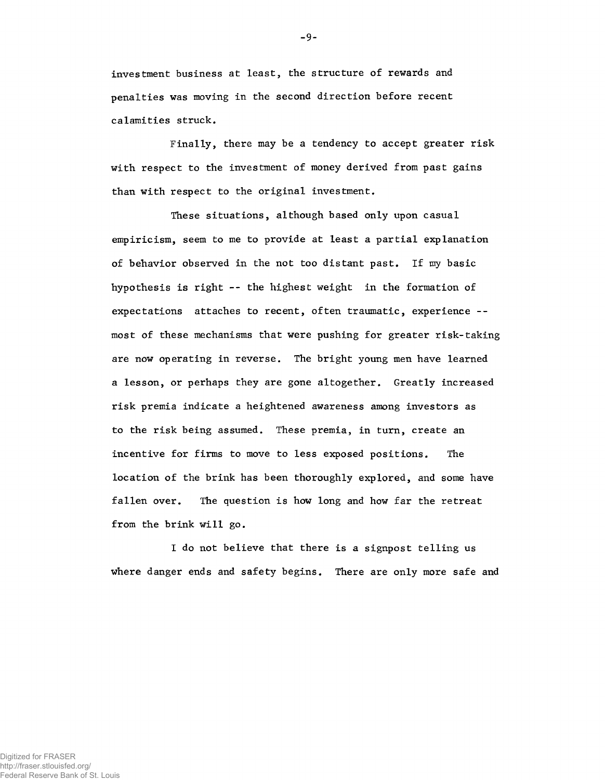**investment business at least, the structure of rewards and penalties was moving in the second direction before recent calamities struck.**

**Finally, there may be a tendency to accept greater risk with respect to the investment of money derived from past gains than with respect to the original investment.**

**These situations, although based only upon casual empiricism, seem to me to provide at least a partial explanation of behavior observed in the not too distant past. If my basic hypothesis is right -- the highest weight in the formation of expectations attaches to recent, often traumatic, experience - most of these mechanisms that were pushing for greater risk-taking are now operating in reverse. The bright young men have learned a lesson, or perhaps they are gone altogether. Greatly increased risk premia indicate a heightened awareness among investors as to the risk being assumed. These premia, in turn, create an incentive for firms to move to less exposed positions. The location of the brink has been thoroughly explored, and some have fallen over. The question is how long and how far the retreat from the brink will go.**

**I do not believe that there is a signpost telling us where danger ends and safety begins. There are only more safe and**

**-9-**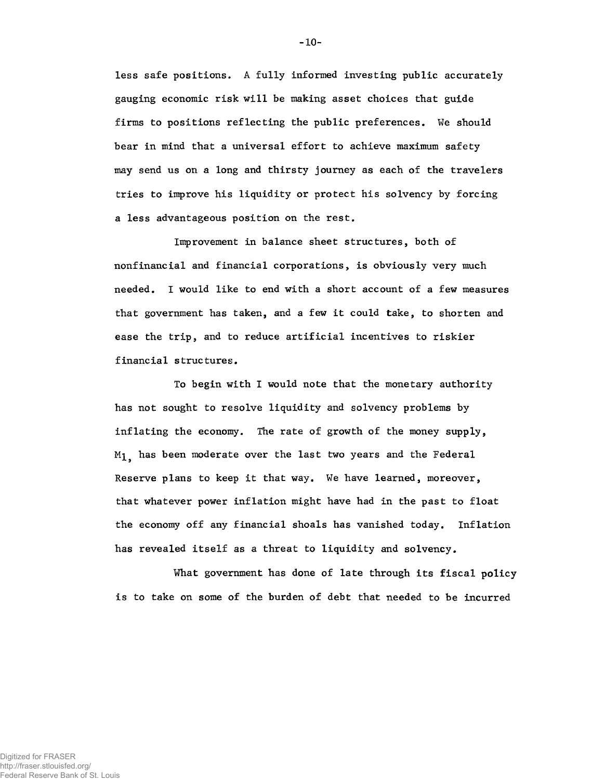**less safe positions. A fully informed investing public accurately gauging economic risk will be making asset choices that guide firms to positions reflecting the public preferences. We should bear in mind that a universal effort to achieve maximum safety may send us on a long and thirsty journey as each of the travelers tries to improve his liquidity or protect his solvency by forcing a less advantageous position on the rest.**

**Improvement in balance sheet structures, both of nonfinancial and financial corporations, is obviously very much needed. I would like to end with a short account of a few measures that government has taken, and a few it could take, to shorten and ease the trip, and to reduce artificial incentives to riskier financial structures.**

**To begin with I would note that the monetary authority has not sought to resolve liquidity and solvency problems by inflating the economy. The rate of growth of the money supply, M]^ has been moderate over the last two years and the Federal Reserve plans to keep it that way. We have learned, moreover, that whatever power inflation might have had in the past to float the economy off any financial shoals has vanished today. Inflation has revealed itself as a threat to liquidity and solvency.**

**What government has done of late through its fiscal policy is to take on some of the burden of debt that needed to be incurred**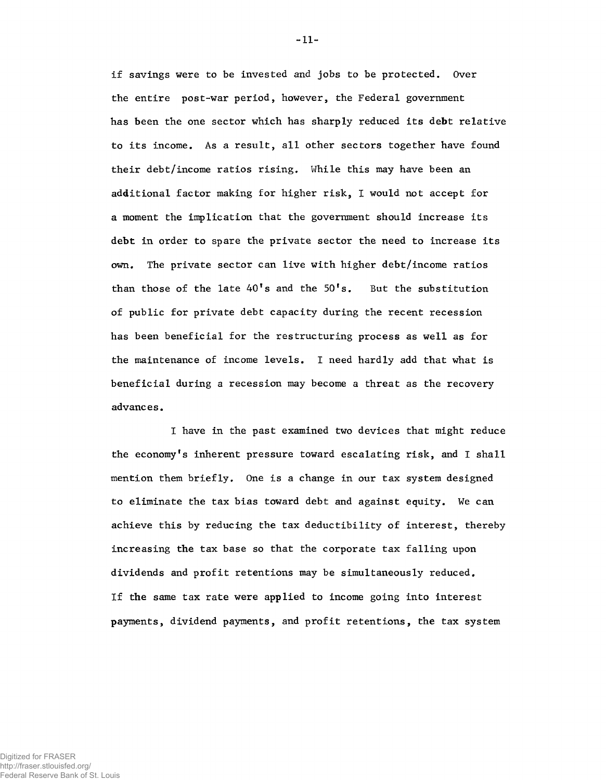**if savings were to be invested and jobs to be protected. Over the entire post-war period, however, the Federal government has been the one sector which has sharply reduced its debt relative to its income. As a result, all other sectors together have found their debt/income ratios rising. While this may have been an additional factor making for higher risk, I would not accept for a moment the implication that the government should increase its debt in order to spare the private sector the need to increase its own. The private sector can live with higher debt/income ratios than those of the late 40fs and the 50fs. But the substitution of public for private debt capacity during the recent recession has been beneficial for the restructuring process as well as for the maintenance of income levels. I need hardly add that what is beneficial during a recession may become a threat as the recovery advances.**

**I have in the past examined two devices that might reduce the economyfs inherent pressure toward escalating risk, and I shall mention them briefly. One is a change in our tax system designed to eliminate the tax bias toward debt and against equity. We can achieve this by reducing the tax deductibility of interest, thereby increasing the tax base so that the corporate tax falling upon dividends and profit retentions may be simultaneously reduced. If the same tax rate were applied to income going into interest payments, dividend payments, and profit retentions, the tax system**

**-11-**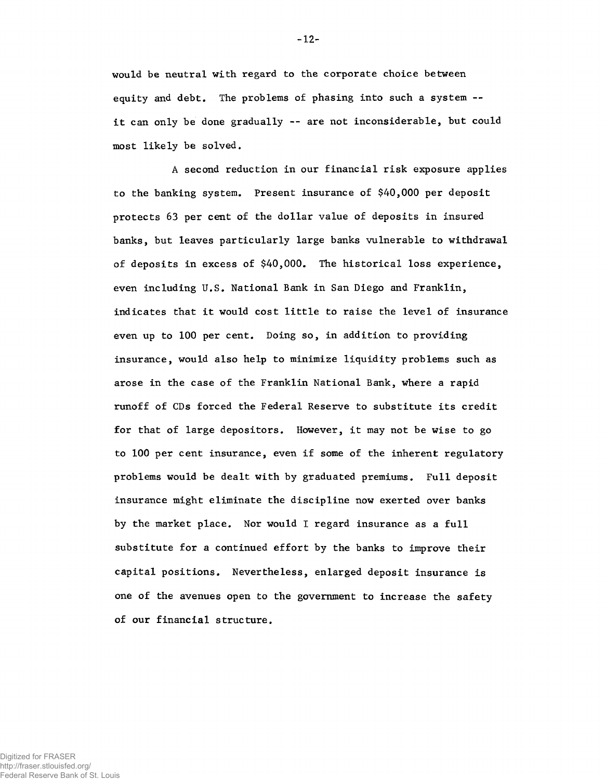**would be neutral with regard to the corporate choice between equity and debt. The problems of phasing into such a system it can only be done gradually -- are not inconsiderable, but could most likely be solved.**

**A second reduction in our financial risk exposure applies to the banking system. Present insurance of \$40,000 per deposit protects 63 per cent of the dollar value of deposits in insured banks, but leaves particularly large banks vulnerable to withdrawal of deposits in excess of \$40,000. The historical loss experience, even including U.S. National Bank in San Diego and Franklin, indicates that it would cost little to raise the level of insurance even up to 100 per cent. Doing so, in addition to providing insurance, would also help to minimize liquidity problems such as arose in the case of the Franklin National Bank, where a rapid runoff of CDs forced the Federal Reserve to substitute its credit for that of large depositors. However, it may not be wise to go to 100 per cent insurance, even if some of the inherent regulatory problems would be dealt with by graduated premiums. Full deposit insurance might eliminate the discipline now exerted over banks by the market place. Nor would I regard insurance as a full substitute for a continued effort by the banks to improve their capital positions. Nevertheless, enlarged deposit insurance is one of the avenues open to the government to increase the safety of our financial structure.**

**-12-**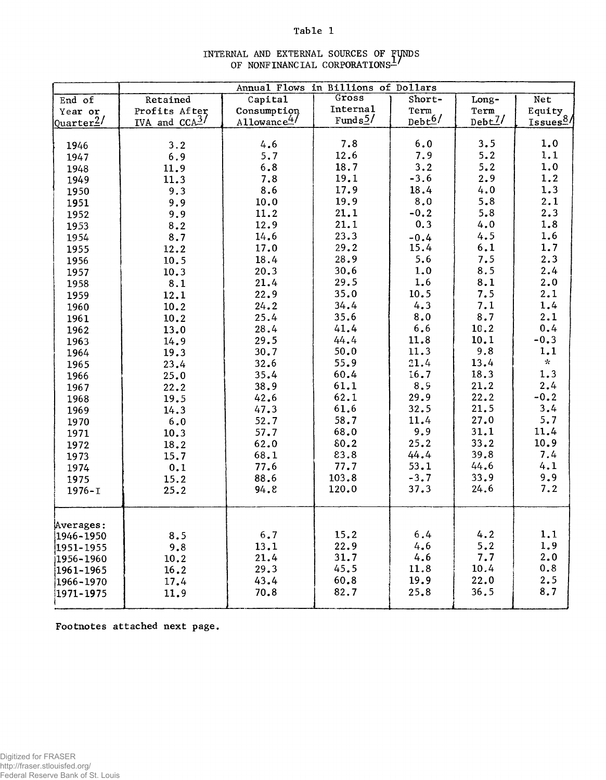## **Table 1**

|                       | Annual Flows in Billions of Dollars |                         |                         |             |        |                                 |  |  |
|-----------------------|-------------------------------------|-------------------------|-------------------------|-------------|--------|---------------------------------|--|--|
| End of                | Retained                            | Capital                 | Gross                   | Short-      |        | Net                             |  |  |
| Year or               | Profits After                       | Consumption             | <b>Internal</b>         | Term        | Term   |                                 |  |  |
| Quarter <sup>2/</sup> | IVA and $CCA^2$ /                   | Allowance <sup>4/</sup> | Fund $s$ <sup>5</sup> / | $Debt^{6/}$ | Debt2/ | Equity<br>Issues <sup>8</sup> / |  |  |
|                       |                                     |                         |                         |             |        |                                 |  |  |
| 1946                  | 3.2                                 | 4.6                     | 7.8                     | 6.0         | 3.5    | 1.0                             |  |  |
| 1947                  | 6.9                                 | 5.7                     | 12.6                    | 7.9         | 5.2    | 1.1                             |  |  |
| 1948                  | 11.9                                | $6.8$                   | 18.7                    | 3.2         | 5.2    | 1.0                             |  |  |
| 1949                  | 11.3                                | 7.8                     | 19.1                    | $-3.6$      | 2.9    | 1.2                             |  |  |
| 1950                  | 9.3                                 | 8.6                     | 17.9                    | 18.4        | 4.0    | 1.3                             |  |  |
| 1951                  | 9.9                                 | 10.0                    | 19.9                    | 8.0         | 5.8    | 2.1                             |  |  |
| 1952                  | 9.9                                 | 11.2                    | 21.1                    | $-0.2$      | 5.8    | 2.3                             |  |  |
| 1953                  | 8.2                                 | 12.9                    | 21.1                    | 0.3         | 4.0    | 1.8                             |  |  |
| 1954                  | 8.7                                 | 14.6                    | 23.3                    | $-0.4$      | 4.5    | 1.6                             |  |  |
| 1955                  | 12.2                                | 17.0                    | 29.2                    | 15.4        | 6.1    | 1.7                             |  |  |
| 1956                  | 10.5                                | 18.4                    | 28.9                    | 5.6         | 7.5    | 2.3                             |  |  |
| 1957                  | 10.3                                | 20.3                    | 30.6                    | 1.0         | 8.5    | 2.4                             |  |  |
| 1958                  | 8.1                                 | 21.4                    | 29.5                    | 1.6         | 8.1    | 2.0                             |  |  |
| 1959                  | 12.1                                | 22.9                    | 35.0                    | 10.5        | 7.5    | 2.1                             |  |  |
| 1960                  | 10.2                                | 24.2                    | 34.4                    | 4.3         | 7.1    | 1.4                             |  |  |
| 1961                  | 10.2                                | 25.4                    | 35.6                    | 8.0         | 8.7    | 2.1                             |  |  |
| 1962                  | 13.0                                | 28.4                    | 41.4                    | 6.6         | 10.2   | 0.4                             |  |  |
| 1963                  | 14.9                                | 29.5                    | 44.4                    | 11.8        | 10.1   | $-0.3$                          |  |  |
| 1964                  | 19.3                                | 30.7                    | 50.0                    | 11.3        | 9.8    | 1.1                             |  |  |
| 1965                  | 23.4                                | 32.6                    | 55.9                    | 21.4        | 13.4   | $\mathcal{R}^{\pm}$             |  |  |
| 1966                  | 25.0                                | 35.4                    | 60.4                    | 16.7        | 18.3   | 1.3                             |  |  |
| 1967                  | 22.2                                | 38.9                    | 61.1                    | 8.9         | 21.2   | 2.4                             |  |  |
| 1968                  | 19.5                                | 42.6                    | 62.1                    | 29.9        | 22.2   | $-0.2$                          |  |  |
| 1969                  | 14.3                                | 47.3                    | 61.6                    | 32.5        | 21.5   | 3.4                             |  |  |
| 1970                  | $6.0$                               | 52.7                    | 58.7                    | 11.4        | 27.0   | 5.7                             |  |  |
| 1971                  | 10.3                                | 57.7                    | 68.0                    | 9.9         | 31.1   | 11.4                            |  |  |
| 1972                  | 18.2                                | 62.0                    | 80.2                    | 25.2        | 33.2   | 10.9                            |  |  |
| 1973                  | 15.7                                | 68.1                    | 83.8                    | 44.4        | 39.8   | 7.4                             |  |  |
| 1974                  | 0.1                                 | 77.6                    | 77.7                    | 53.1        | 44.6   | 4.1                             |  |  |
| 1975                  | 15.2                                | 88.6                    | 103.8                   | $-3.7$      | 33.9   | 9.9                             |  |  |
| $1976 - I$            | 25.2                                | 94.8                    | 120.0                   | 37.3        | 24.6   | 7.2                             |  |  |
|                       |                                     |                         |                         |             |        |                                 |  |  |
| Averages:             |                                     | 6.7                     | 15.2                    | 6.4         | 4.2    | 1.1                             |  |  |
| 1946-1950             | 8.5                                 | 13.1                    | 22.9                    | 4.6         | 5.2    | 1.9                             |  |  |
| 1951-1955             | 9.8                                 | 21.4                    | 31.7                    | 4.6         | 7.7    | 2.0                             |  |  |
| 1956-1960             | 10.2                                | 29.3                    | 45.5                    | 11.8        | 10.4   | 0.8                             |  |  |
| 1961-1965             | 16.2                                | 43.4                    | 60.8                    | 19.9        | 22.0   | 2.5                             |  |  |
| 1966-1970             | 17.4                                | 70.8                    | 82.7                    |             | 36.5   | 8.7                             |  |  |
| $1971 - 1975$         | 11.9                                |                         |                         | 25.8        |        |                                 |  |  |

#### **INTERNAL AND EXTERNAL SOURCES OF FUNDS OF NONFINANCIAL CORPORATIONS—**

**Footnotes attached next page.**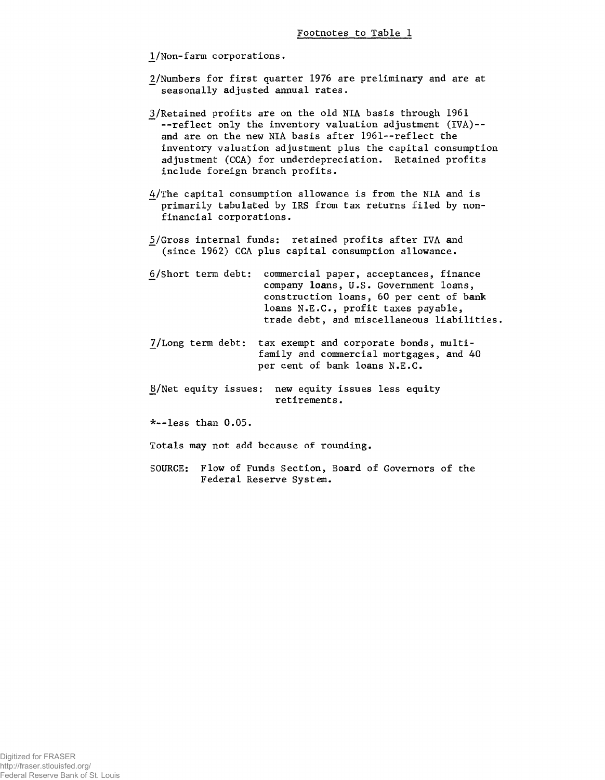**1/Non-farm corporations.**

- **2/Numbers for first quarter 1976 are preliminary and are at seasonally adjusted annual rates.**
- **3/Retained profits are on the old NIA basis through 1961 --reflect only the inventory valuation adjustment (IVA)- and are on the new NIA basis after 1961--reflect the inventory valuation adjustment plus the capital consumption adjustment (CCA) for underdepreciation. Retained profits include foreign branch profits.**
- **4/The capital consumption allowance is from the NIA and is primarily tabulated by IRS from tax returns filed by nonfinancial corporations.**
- **¿/Gross internal funds: retained profits after IVA and (since 1962) CCA plus capital consumption allowance.**
- **6/Short term debt: commercial paper, acceptances, finance company loans, U.S. Government loans, construction loans, 60 per cent of bank loans N.E.C., profit taxes payable, trade debt, and miscellaneous liabilities.**
- **7/Long term debt: tax exempt and corporate bonds, multifamily and commercial mortgages, and 40 per cent of bank loans N.E.C.**
- **8>/Net equity issues: new equity issues less equity retirements.**

**\*--less than 0.05.**

**Totals may not add because of rounding.**

**SOURCE: Flow of Funds Section, Board of Governors of the Federal Reserve System.**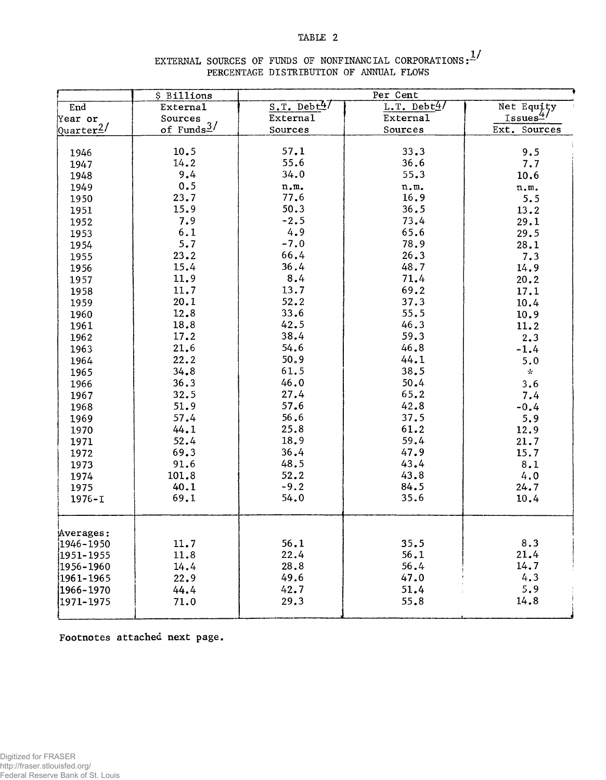#### **TABLE 2**

# EXTERNAL SOURCES OF FUNDS OF NONFINANCIAL CORPORATIONS:<sup>1</sup>/ **PERCENTAGE DISTRIBUTION OF ANNUAL FLOWS**

|               | \$ Billions            |                                 |                                 |                                 |
|---------------|------------------------|---------------------------------|---------------------------------|---------------------------------|
| End           | External               | $S.T.$ Debt <sup>47</sup>       | $L.T.$ Debt4/                   | Net Equity                      |
| Year or       | Sources                | <b>External</b>                 | <b>External</b>                 | Issues <sup>4/</sup>            |
| Quarter $2/$  | of Funds $\frac{3}{ }$ | Sources                         | Sources                         | Ext. Sources                    |
|               |                        |                                 |                                 |                                 |
| 1946          | 10.5                   | 57.1                            | 33.3                            | 9.5                             |
| 1947          | 14.2                   | 55.6                            | 36.6                            | 7.7                             |
| 1948          | 9.4                    | 34.0                            | 55.3                            | 10.6                            |
| 1949          | 0.5                    | $\mathfrak n$ . $\mathfrak m$ . | $\mathfrak n$ . $\mathfrak m$ . | $\mathfrak n$ . $\mathfrak m$ . |
| 1950          | 23.7                   | 77.6                            | 16.9                            | 5.5                             |
| 1951          | 15.9                   | 50.3                            | 36.5                            | 13.2                            |
| 1952          | 7.9                    | $-2.5$                          | 73.4                            | 29.1                            |
| 1953          | 6.1                    | 4.9                             | 65.6                            | 29.5                            |
| 1954          | 5.7                    | $-7.0$                          | 78.9                            | 28.1                            |
| 1955          | 23.2                   | 66.4                            | 26.3                            | 7.3                             |
| 1956          | 15.4                   | 36.4                            | 48.7                            | 14.9                            |
| 1957          | 11.9                   | 8.4                             | 71.4                            | 20.2                            |
| 1958          | 11.7                   | 13.7                            | 69.2                            | 17.1                            |
| 1959          | 20.1                   | 52.2                            | 37.3                            | 10.4                            |
| 1960          | 12.8                   | 33.6                            | 55.5                            | 10.9                            |
| 1961          | 18.8                   | 42.5                            | 46.3                            | 11.2                            |
| 1962          | 17.2                   | 38.4                            | 59.3                            | 2.3                             |
| 1963          | 21.6                   | 54.6                            | 46.8                            | $-1.4$                          |
| 1964          | 22.2                   | 50.9                            | 44.1                            | 5.0                             |
| 1965          | 34.8                   | 61.5                            | 38.5                            | $\mathcal{L}_{\mathcal{C}}$     |
| 1966          | 36.3                   | 46.0                            | 50.4                            | 3.6                             |
| 1967          | 32.5                   | 27.4                            | 65.2                            | 7.4                             |
| 1968          | 51.9                   | 57.6                            | 42.8                            | $-0.4$                          |
| 1969          | 57.4                   | 56.6                            | 37.5                            | 5.9                             |
| 1970          | 44.1                   | 25.8                            | 61.2                            | 12.9                            |
| 1971          | 52.4                   | 18.9                            | 59.4                            | 21.7                            |
| 1972          | 69.3                   | 36.4                            | 47.9                            | 15.7                            |
| 1973          | 91.6                   | 48.5                            | 43.4                            | 8.1                             |
| 1974          | 101.8                  | 52.2                            | 43.8                            | 4.0                             |
| 1975          | 40.1                   | $-9.2$                          | 84.5                            | 24.7                            |
| $1976 - I$    | 69.1                   | 54.0                            | 35.6                            | 10.4                            |
| Averages:     |                        |                                 |                                 |                                 |
| $1946 - 1950$ | 11.7                   | 56.1                            | 35.5                            | 8.3                             |
| $1951 - 1955$ | 11.8                   | 22.4                            | 56.1                            | 21.4                            |
| 1956-1960     | 14.4                   | 28.8                            | 56.4                            | 14.7                            |
| 1961-1965     | 22.9                   | 49.6                            | 47.0                            | 4.3                             |
| 1966-1970     | 44.4                   | 42.7                            | 51.4                            | 5.9                             |
| 1971-1975     | 71.0                   | 29.3                            | 55.8                            | 14.8                            |
|               |                        |                                 |                                 |                                 |

**Footnotes attached next page.**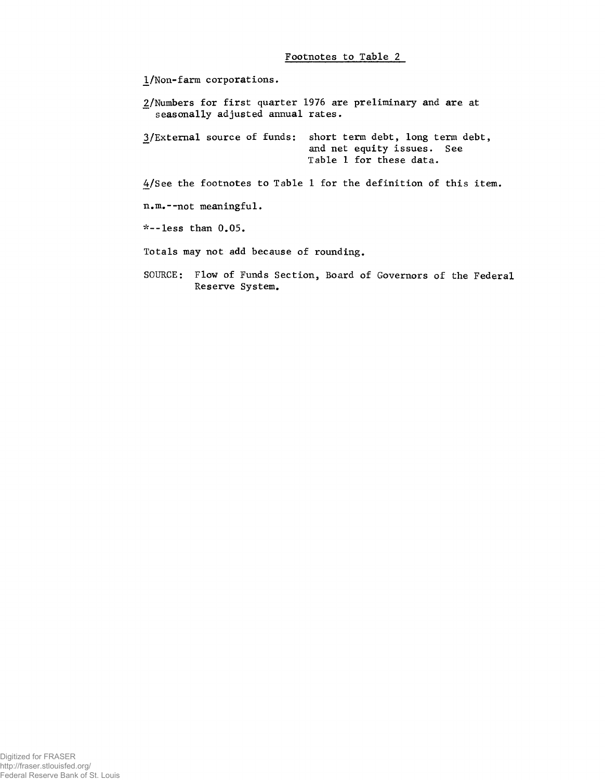#### **Footnotes to Table 2**

**2/Numbers for first quarter 1976 are preliminary and are at seasonally adjusted annual rates. ^/External source of funds: short term debt, long term debt, and net equity issues. See Table 1 for these data. 4/See the footnotes to Table 1 for the definition of this item. n.m.--not meaningful. 'v--less than 0.05. Totals may not add because of rounding. JL/Non-farm corporations.**

**SOURCE: Flow of Funds Section, Board of Governors of the Federal Reserve System.**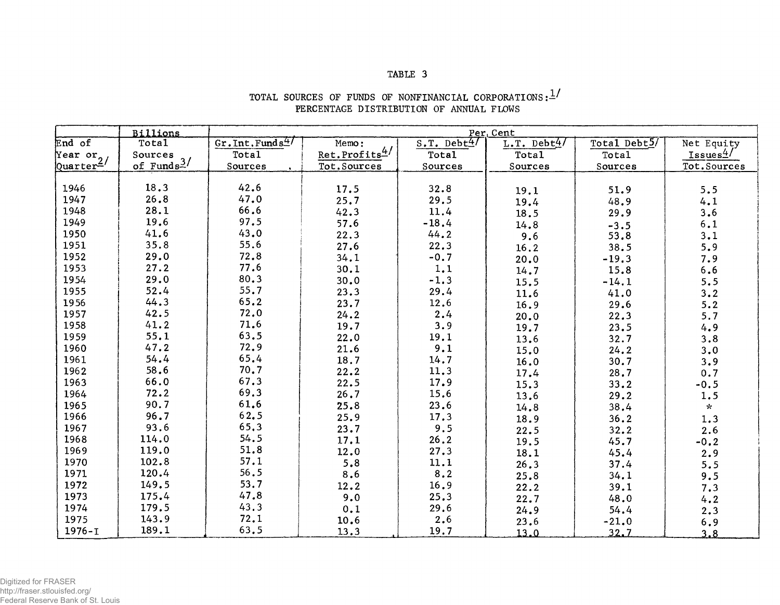## **TABLE 3**

|                                  | <b>Billions</b>                   | Per, Cent                   |                           |                            |               |              |                     |  |
|----------------------------------|-----------------------------------|-----------------------------|---------------------------|----------------------------|---------------|--------------|---------------------|--|
| End of                           | Total                             | Gr. Int. Funds <sup>4</sup> | Memo:                     | $S.T.$ Debt <sup>4</sup> / | L.T. Debt $4$ | Total Debt5/ | Net Equity          |  |
|                                  |                                   | Total                       | Ret.Profits <sup>4/</sup> | <b>Total</b>               | Total         | <b>Total</b> | Issues <sup>4</sup> |  |
| Year or<br>Quarter <sup>2/</sup> | Sources<br>of Funds <sup>3/</sup> | Sources                     | Tot.Sources               | Sources                    | Sources       | Sources      | Tot.Sources         |  |
|                                  |                                   |                             |                           |                            |               |              |                     |  |
| 1946                             | 18.3                              | 42.6                        | 17.5                      | 32.8                       | 19.1          | 51.9         | 5.5                 |  |
| 1947                             | 26.8                              | 47.0                        | 25.7                      | 29.5                       | 19.4          | 48.9         | 4.1                 |  |
| 1948                             | 28.1                              | 66.6                        | 42.3                      | 11.4                       | 18.5          | 29.9         | 3.6                 |  |
| 1949                             | 19.6                              | 97.5                        | 57.6                      | $-18.4$                    | 14.8          | $-3.5$       | 6.1                 |  |
| 1950                             | 41.6                              | 43.0                        | 22.3                      | 44.2                       | 9.6           | 53.8         | 3.1                 |  |
| 1951                             | 35.8                              | 55.6                        | 27.6                      | 22.3                       | 16.2          | 38.5         | 5.9                 |  |
| 1952                             | 29.0                              | 72.8                        | 34.1                      | $-0.7$                     | 20.0          | $-19.3$      | 7.9                 |  |
| 1953                             | 27.2                              | 77.6                        | 30.1                      | 1.1                        | 14.7          | 15.8         | $\bf 6.6$           |  |
| 1954                             | 29.0                              | 80.3                        | 30.0                      | $-1.3$                     | 15.5          | $-14.1$      | 5.5                 |  |
| 1955                             | 52.4                              | 55.7                        | 23.3                      | 29.4                       | 11.6          | 41.0         | 3.2                 |  |
| 1956                             | 44.3                              | 65.2                        | 23.7                      | 12.6                       | 16.9          | 29.6         | 5.2                 |  |
| 1957                             | 42.5                              | 72.0                        | 24.2                      | 2.4                        | 20.0          | 22.3         | 5.7                 |  |
| 1958                             | 41.2                              | 71.6                        | 19.7                      | 3.9                        | 19.7          | 23.5         | 4.9                 |  |
| 1959                             | 55.1                              | 63.5                        | 22.0                      | 19.1                       | 13.6          | 32.7         | 3.8                 |  |
| 1960                             | 47.2                              | 72.9                        | 21.6                      | 9.1                        | 15.0          | 24.2         | 3.0                 |  |
| 1961                             | 54.4                              | 65.4                        | 18.7                      | 14.7                       | 16.0          | 30.7         | 3.9                 |  |
| 1962                             | 58.6                              | 70.7                        | 22.2                      | 11.3                       | 17.4          | 28.7         | 0.7                 |  |
| 1963                             | 66.0                              | 67.3                        | 22.5                      | 17.9                       | 15.3          | 33.2         | $-0.5$              |  |
| 1964                             | 72.2                              | 69.3                        | 26.7                      | 15.6                       | 13.6          | 29.2         | 1.5                 |  |
| 1965                             | 90.7                              | 61.6                        | 25.8                      | 23.6                       | 14.8          | 38.4         | $\mathbf{x}$        |  |
| 1966                             | 96.7                              | 62.5                        | 25.9                      | 17.3                       | 18.9          | 36.2         | 1.3                 |  |
| 1967                             | 93.6                              | 65.3                        | 23.7                      | 9.5                        | 22.5          | 32.2         | 2.6                 |  |
| 1968                             | 114.0                             | 54.5                        | 17.1                      | 26.2                       | 19.5          | 45.7         | $-0.2$              |  |
| 1969                             | 119.0                             | 51.8                        | 12.0                      | 27.3                       | 18.1          | 45.4         | 2.9                 |  |
| 1970                             | 102.8                             | 57.1                        | 5.8                       | 11.1                       | 26.3          | 37.4         | 5.5                 |  |
| 1971                             | 120.4                             | 56.5                        | 8.6                       | 8.2                        | 25.8          | 34.1         | 9.5                 |  |
| 1972                             | 149.5                             | 53.7                        | 12.2                      | 16.9                       | 22.2          | 39.1         | 7.3                 |  |
| 1973                             | 175.4                             | 47.8                        | 9.0                       | 25.3                       | 22.7          | 48.0         | 4.2                 |  |
| 1974                             | 179.5                             | 43.3                        | 0.1                       | 29.6                       | 24.9          | 54.4         | 2.3                 |  |
| 1975                             | 143.9                             | 72.1                        | 10.6                      | 2.6                        | 23.6          | $-21.0$      | 6.9                 |  |
| $1976 - I$                       | 189.1                             | 63.5                        | 13.3                      | 19.7                       | 13.0          | 32.7         | 3.8                 |  |

## **TOTAL SOURCES OF FUNDS OF NONFINANCIAL CORPORATIONS:— / PERCENTAGE DISTRIBUTION OF ANNUAL FLOWS**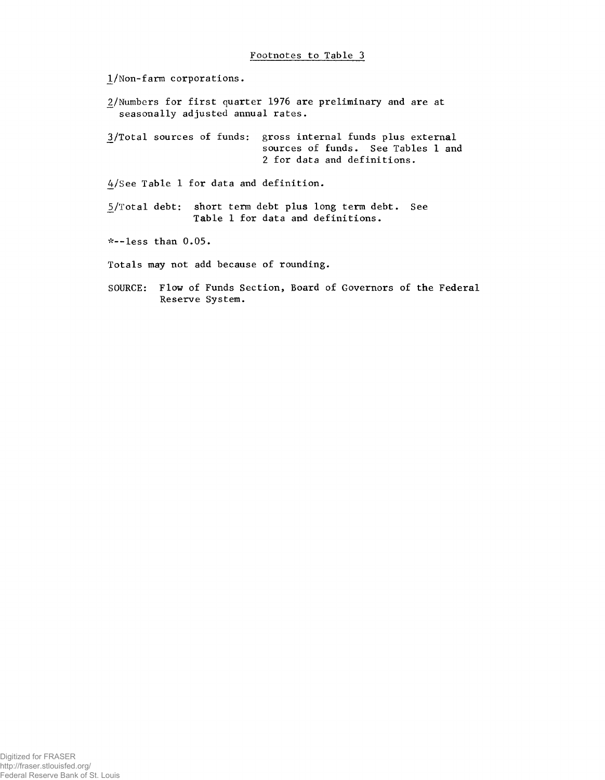**\_l/Non-farm corporations.**

**\_2/Numbers for first quarter 1976 are preliminary and are at seasonally adjusted annual rates.**

**\_3/Total sources of funds: gross internal funds plus external sources of funds. See Tables 1 and 2 for data and definitions.**

**4/See Table 1 for data and definition.**

**¿/Total debt: short term debt plus long term debt. See Table 1 for data and definitions.**

**\*--less than 0.05.**

**Totals may not add because of rounding.**

**SOURCE: Flow of Funds Section, Board of Governors of the Federal Reserve System.**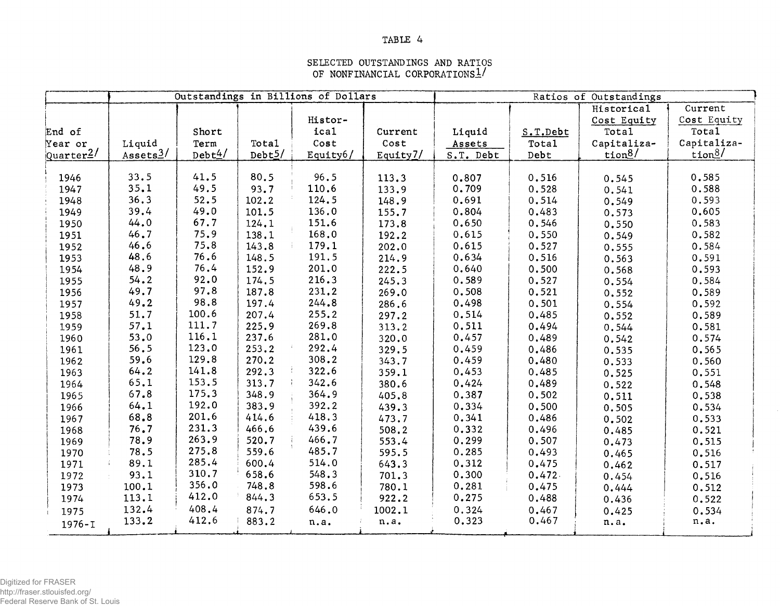## **TABLE 4**

## **SELECTED OUTSTANDINGS AND RATIOS OF NONFINANCIAL CORPORATIONS!/**

|                       | Outstandings in Billions of Dollars |        |           |          |             | Ratios of Outstandings |          |             |                   |  |
|-----------------------|-------------------------------------|--------|-----------|----------|-------------|------------------------|----------|-------------|-------------------|--|
|                       |                                     |        |           |          |             |                        |          | Historical  | Current           |  |
|                       |                                     |        |           | Histor-  |             |                        |          | Cost Equity | Cost Equity       |  |
| End of                |                                     | Short  |           | ical     | Current     | Liquid                 | S.T.Debt | Total       | Total             |  |
| Year or               | Liquid                              | Term   | Total     | Cost     | Cost        | Assets                 | Total    | Capitaliza- | Capitaliza-       |  |
| $\frac{Quarter^2}{ }$ | Assets <sup>3</sup> /               | Debt4/ | Debt $5/$ | Equity6/ | Equity $7/$ | S.T. Debt              | Debt     | tion $8/$   | $tion\frac{8}{ }$ |  |
|                       |                                     |        |           |          |             |                        |          |             |                   |  |
| 1946                  | 33.5                                | 41.5   | 80.5      | 96.5     | 113.3       | 0.807                  | 0.516    | 0.545       | 0.585             |  |
| 1947                  | 35.1                                | 49.5   | 93.7      | 110.6    | 133.9       | 0.709                  | 0.528    | 0.541       | 0.588             |  |
| 1948                  | 36.3                                | 52.5   | 102.2     | 124.5    | 148.9       | 0.691                  | 0.514    | 0.549       | 0.593             |  |
| 1949                  | 39.4                                | 49.0   | 101.5     | 136.0    | 155.7       | 0.804                  | 0.483    | 0.573       | 0.605             |  |
| 1950                  | 44.0                                | 67.7   | 124,1     | 151.6    | 173.8       | 0.650                  | 0.546    | 0.550       | 0.583             |  |
| 1951                  | 46.7                                | 75.9   | 138.1     | 168.0    | 192.2       | 0.615                  | 0.550    | 0.549       | 0.582             |  |
| 1952                  | 46.6                                | 75.8   | 143.8     | 179.1    | 202.0       | 0.615                  | 0.527    | 0.555       | 0.584             |  |
| 1953                  | 48.6                                | 76.6   | 148.5     | 191.5    | 214.9       | 0.634                  | 0.516    | 0.563       | 0.591             |  |
| 1954                  | 48.9                                | 76.4   | 152.9     | 201.0    | 222.5       | 0.640                  | 0.500    | 0.568       | 0.593             |  |
| 1955                  | 54.2                                | 92.0   | 174.5     | 216.3    | 245.3       | 0.589                  | 0.527    | 0.554       | 0.584             |  |
| 1956                  | 49.7                                | 97.8   | 187.8     | 231.2    | 269.0       | 0.508                  | 0.521    | 0.552       | 0.589             |  |
| 1957                  | 49.2                                | 98.8   | 197.4     | 244.8    | 286.6       | 0.498                  | 0.501    | 0.554       | 0.592             |  |
| 1958                  | 51.7                                | 100.6  | 207.4     | 255.2    | 297.2       | 0.514                  | 0.485    | 0.552       | 0.589             |  |
| 1959                  | 57.1                                | 111.7  | 225.9     | 269.8    | 313.2       | 0.511                  | 0.494    | 0.544       | 0.581             |  |
| 1960                  | 53.0                                | 116.1  | 237.6     | 281.0    | 320.0       | 0.457                  | 0.489    | 0.542       | 0.574             |  |
| 1961                  | 56.5                                | 123.0  | 253.2     | 292.4    | 329.5       | 0.459                  | 0.486    | 0.535       | 0.565             |  |
| 1962                  | 59.6                                | 129.8  | 270.2     | 308.2    | 343.7       | 0.459                  | 0.480    | 0.533       | 0.560             |  |
| 1963                  | 64.2                                | 141.8  | 292.3     | 322.6    | 359.1       | 0.453                  | 0.485    | 0.525       | 0.551             |  |
| 1964                  | 65.1                                | 153.5  | 313.7     | 342.6    | 380.6       | 0.424                  | 0.489    | 0.522       | 0.548             |  |
| 1965                  | 67.8                                | 175.3  | 348.9     | 364.9    | 405.8       | 0.387                  | 0.502    | 0.511       | 0.538             |  |
| 1966                  | 64.1                                | 192.0  | 383.9     | 392.2    | 439.3       | 0.334                  | 0.500    | 0.505       | 0.534             |  |
| 1967                  | 68.8                                | 201.6  | 414.6     | 418.3    | 473.7       | 0.341                  | 0.486    | 0.502       | 0.533             |  |
| 1968                  | 76.7                                | 231.3  | 466.6     | 439.6    | 508.2       | 0.332                  | 0.496    | 0.485       | 0.521             |  |
| 1969                  | 78.9                                | 263.9  | 520.7     | 466.7    | 553.4       | 0.299                  | 0.507    | 0.473       | 0.515             |  |
| 1970                  | 78.5                                | 275.8  | 559.6     | 485.7    | 595.5       | 0.285                  | 0.493    | 0.465       | 0.516             |  |
| 1971                  | 89.1                                | 285.4  | 600.4     | 514.0    | 643.3       | 0.312                  | 0.475    | 0.462       | 0.517             |  |
| 1972                  | 93.1                                | 310.7  | 658.6     | 548.3    | 701.3       | 0.300                  | 0.472.   | 0.454       | 0.516             |  |
| 1973                  | 100.1                               | 356.0  | 748.8     | 598.6    | 780.1       | 0.281                  | 0.475    | 0.444       | 0.512             |  |
| 1974                  | 113.1                               | 412.0  | 844.3     | 653.5    | 922.2       | 0.275                  | 0.488    | 0.436       | 0.522             |  |
| 1975                  | 132.4                               | 408.4  | 874.7     | 646.0    | 1002.1      | 0.324                  | 0.467    | 0.425       | 0.534             |  |
| $1976 - I$            | 133.2                               | 412.6  | 883.2     | n.a.     | n.a.        | 0.323                  | 0.467    | n.a.        | n.a.              |  |